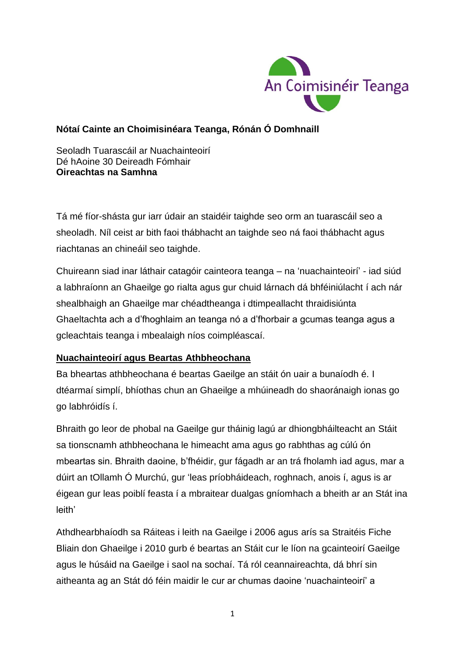

## **Nótaí Cainte an Choimisinéara Teanga, Rónán Ó Domhnaill**

Seoladh Tuarascáil ar Nuachainteoirí Dé hAoine 30 Deireadh Fómhair **Oireachtas na Samhna**

Tá mé fíor-shásta gur iarr údair an staidéir taighde seo orm an tuarascáil seo a sheoladh. Níl ceist ar bith faoi thábhacht an taighde seo ná faoi thábhacht agus riachtanas an chineáil seo taighde.

Chuireann siad inar láthair catagóir cainteora teanga – na 'nuachainteoirí' - iad siúd a labhraíonn an Ghaeilge go rialta agus gur chuid lárnach dá bhféiniúlacht í ach nár shealbhaigh an Ghaeilge mar chéadtheanga i dtimpeallacht thraidisiúnta Ghaeltachta ach a d'fhoghlaim an teanga nó a d'fhorbair a gcumas teanga agus a gcleachtais teanga i mbealaigh níos coimpléascaí.

# **Nuachainteoirí agus Beartas Athbheochana**

Ba bheartas athbheochana é beartas Gaeilge an stáit ón uair a bunaíodh é. I dtéarmaí simplí, bhíothas chun an Ghaeilge a mhúineadh do shaoránaigh ionas go go labhróidís í.

Bhraith go leor de phobal na Gaeilge gur tháinig lagú ar dhiongbháilteacht an Stáit sa tionscnamh athbheochana le himeacht ama agus go rabhthas ag cúlú ón mbeartas sin. Bhraith daoine, b'fhéidir, gur fágadh ar an trá fholamh iad agus, mar a dúirt an tOllamh Ó Murchú, gur 'leas príobháideach, roghnach, anois í, agus is ar éigean gur leas poiblí feasta í a mbraitear dualgas gníomhach a bheith ar an Stát ina leith'

Athdhearbhaíodh sa Ráiteas i leith na Gaeilge i 2006 agus arís sa Straitéis Fiche Bliain don Ghaeilge i 2010 gurb é beartas an Stáit cur le líon na gcainteoirí Gaeilge agus le húsáid na Gaeilge i saol na sochaí. Tá ról ceannaireachta, dá bhrí sin aitheanta ag an Stát dó féin maidir le cur ar chumas daoine 'nuachainteoirí' a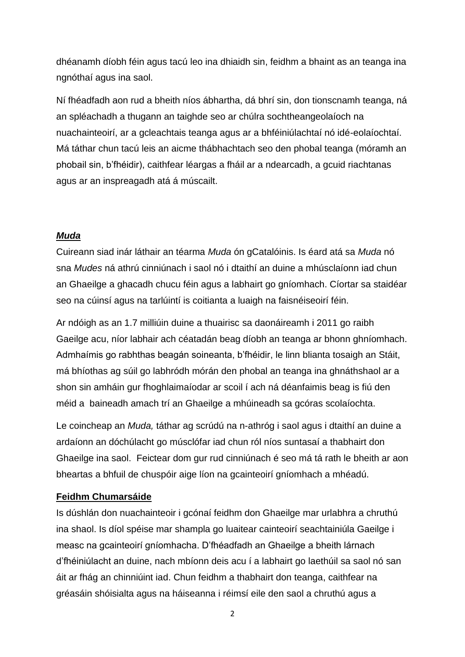dhéanamh díobh féin agus tacú leo ina dhiaidh sin, feidhm a bhaint as an teanga ina ngnóthaí agus ina saol.

Ní fhéadfadh aon rud a bheith níos ábhartha, dá bhrí sin, don tionscnamh teanga, ná an spléachadh a thugann an taighde seo ar chúlra sochtheangeolaíoch na nuachainteoirí, ar a gcleachtais teanga agus ar a bhféiniúlachtaí nó idé-eolaíochtaí. Má táthar chun tacú leis an aicme thábhachtach seo den phobal teanga (móramh an phobail sin, b'fhéidir), caithfear léargas a fháil ar a ndearcadh, a gcuid riachtanas agus ar an inspreagadh atá á múscailt.

### *Muda*

Cuireann siad inár láthair an téarma *Muda* ón gCatalóinis. Is éard atá sa *Muda* nó sna *Mudes* ná athrú cinniúnach i saol nó i dtaithí an duine a mhúsclaíonn iad chun an Ghaeilge a ghacadh chucu féin agus a labhairt go gníomhach. Cíortar sa staidéar seo na cúinsí agus na tarlúintí is coitianta a luaigh na faisnéiseoirí féin.

Ar ndóigh as an 1.7 milliúin duine a thuairisc sa daonáireamh i 2011 go raibh Gaeilge acu, níor labhair ach céatadán beag díobh an teanga ar bhonn ghníomhach. Admhaímis go rabhthas beagán soineanta, b'fhéidir, le linn blianta tosaigh an Stáit, má bhíothas ag súil go labhródh mórán den phobal an teanga ina ghnáthshaol ar a shon sin amháin gur fhoghlaimaíodar ar scoil í ach ná déanfaimis beag is fiú den méid a baineadh amach trí an Ghaeilge a mhúineadh sa gcóras scolaíochta.

Le coincheap an *Muda,* táthar ag scrúdú na n-athróg i saol agus i dtaithí an duine a ardaíonn an dóchúlacht go músclófar iad chun ról níos suntasaí a thabhairt don Ghaeilge ina saol. Feictear dom gur rud cinniúnach é seo má tá rath le bheith ar aon bheartas a bhfuil de chuspóir aige líon na gcainteoirí gníomhach a mhéadú.

### **Feidhm Chumarsáide**

Is dúshlán don nuachainteoir i gcónaí feidhm don Ghaeilge mar urlabhra a chruthú ina shaol. Is díol spéise mar shampla go luaitear cainteoirí seachtainiúla Gaeilge i measc na gcainteoirí gníomhacha. D'fhéadfadh an Ghaeilge a bheith lárnach d'fhéiniúlacht an duine, nach mbíonn deis acu í a labhairt go laethúil sa saol nó san áit ar fhág an chinniúint iad. Chun feidhm a thabhairt don teanga, caithfear na gréasáin shóisialta agus na háiseanna i réimsí eile den saol a chruthú agus a

2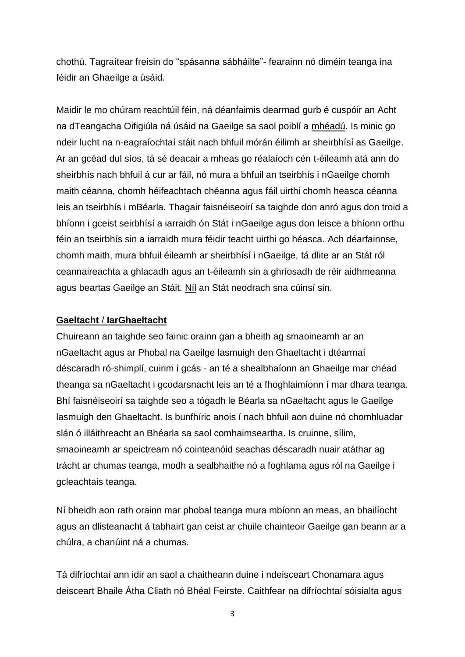chothú. Tagraítear freisin do "spásanna sábháilte"- fearainn nó diméin teanga ina féidir an Ghaeilge a úsáid.

Maidir le mo chúram reachtúil féin, ná déanfaimis dearmad gurb é cuspóir an Acht na dTeangacha Oifigiúla ná úsáid na Gaeilge sa saol poiblí a mhéadú. Is minic go ndeir lucht na n-eagraíochtaí stáit nach bhfuil mórán éilimh ar sheirbhísí as Gaeilge. Ar an gcéad dul síos, tá sé deacair a mheas go réalaíoch cén t-éileamh atá ann do sheirbhís nach bhfuil á cur ar fáil, nó mura a bhfuil an tseirbhís i nGaeilge chomh maith céanna, chomh héifeachtach chéanna agus fáil uirthi chomh heasca céanna leis an tseirbhís i mBéarla. Thagair faisnéiseoirí sa taighde don anró agus don troid a bhíonn i gceist seirbhísí a iarraidh ón Stát i nGaeilge agus don leisce a bhíonn orthu féin an tseirbhís sin a iarraidh mura féidir teacht uirthi go héasca. Ach déarfainnse, chomh maith, mura bhfuil éileamh ar sheirbhísí i nGaeilge, tá dlite ar an Stát ról ceannaireachta a ghlacadh agus an t-éileamh sin a ghríosadh de réir aidhmeanna agus beartas Gaeilge an Stáit. Níl an Stát neodrach sna cúinsí sin.

#### **Gaeltacht** / **IarGhaeltacht**

Chuireann an taighde seo fainic orainn gan a bheith ag smaoineamh ar an nGaeltacht agus ar Phobal na Gaeilge lasmuigh den Ghaeltacht i dtéarmaí déscaradh ró-shimplí, cuirim i gcás - an té a shealbhaíonn an Ghaeilge mar chéad theanga sa nGaeltacht i gcodarsnacht leis an té a fhoghlaimíonn í mar dhara teanga. Bhí faisnéiseoirí sa taighde seo a tógadh le Béarla sa nGaeltacht agus le Gaeilge lasmuigh den Ghaeltacht. Is bunfhíric anois í nach bhfuil aon duine nó chomhluadar slán ó illáithreacht an Bhéarla sa saol comhaimseartha. Is cruinne, sílim, smaoineamh ar speictream nó cointeanóid seachas déscaradh nuair atáthar ag trácht ar chumas teanga, modh a sealbhaithe nó a foghlama agus ról na Gaeilge i gcleachtais teanga.

Ní bheidh aon rath orainn mar phobal teanga mura mbíonn an meas, an bhailíocht agus an dlisteanacht á tabhairt gan ceist ar chuile chainteoir Gaeilge gan beann ar a chúlra, a chanúint ná a chumas.

Tá difríochtaí ann idir an saol a chaitheann duine i ndeisceart Chonamara agus deisceart Bhaile Átha Cliath nó Bhéal Feirste. Caithfear na difríochtaí sóisialta agus

3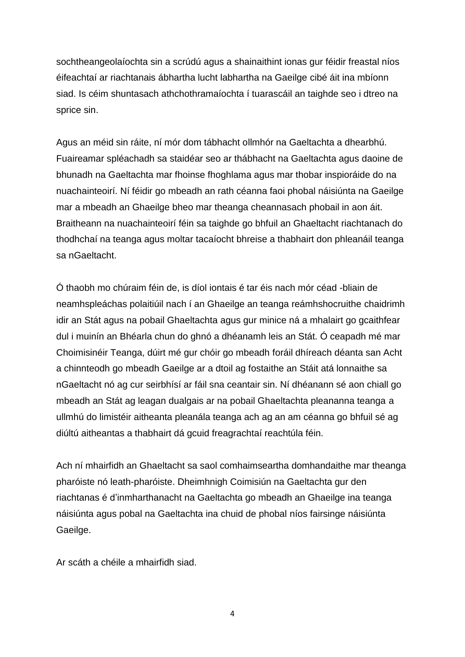sochtheangeolaíochta sin a scrúdú agus a shainaithint ionas gur féidir freastal níos éifeachtaí ar riachtanais ábhartha lucht labhartha na Gaeilge cibé áit ina mbíonn siad. Is céim shuntasach athchothramaíochta í tuarascáil an taighde seo i dtreo na sprice sin.

Agus an méid sin ráite, ní mór dom tábhacht ollmhór na Gaeltachta a dhearbhú. Fuaireamar spléachadh sa staidéar seo ar thábhacht na Gaeltachta agus daoine de bhunadh na Gaeltachta mar fhoinse fhoghlama agus mar thobar inspioráide do na nuachainteoirí. Ní féidir go mbeadh an rath céanna faoi phobal náisiúnta na Gaeilge mar a mbeadh an Ghaeilge bheo mar theanga cheannasach phobail in aon áit. Braitheann na nuachainteoirí féin sa taighde go bhfuil an Ghaeltacht riachtanach do thodhchaí na teanga agus moltar tacaíocht bhreise a thabhairt don phleanáil teanga sa nGaeltacht.

Ó thaobh mo chúraim féin de, is díol iontais é tar éis nach mór céad -bliain de neamhspleáchas polaitiúil nach í an Ghaeilge an teanga reámhshocruithe chaidrimh idir an Stát agus na pobail Ghaeltachta agus gur minice ná a mhalairt go gcaithfear dul i muinín an Bhéarla chun do ghnó a dhéanamh leis an Stát. Ó ceapadh mé mar Choimisinéir Teanga, dúirt mé gur chóir go mbeadh foráil dhíreach déanta san Acht a chinnteodh go mbeadh Gaeilge ar a dtoil ag fostaithe an Stáit atá lonnaithe sa nGaeltacht nó ag cur seirbhísí ar fáil sna ceantair sin. Ní dhéanann sé aon chiall go mbeadh an Stát ag leagan dualgais ar na pobail Ghaeltachta pleananna teanga a ullmhú do limistéir aitheanta pleanála teanga ach ag an am céanna go bhfuil sé ag diúltú aitheantas a thabhairt dá gcuid freagrachtaí reachtúla féin.

Ach ní mhairfidh an Ghaeltacht sa saol comhaimseartha domhandaithe mar theanga pharóiste nó leath-pharóiste. Dheimhnigh Coimisiún na Gaeltachta gur den riachtanas é d'inmharthanacht na Gaeltachta go mbeadh an Ghaeilge ina teanga náisiúnta agus pobal na Gaeltachta ina chuid de phobal níos fairsinge náisiúnta Gaeilge.

Ar scáth a chéile a mhairfidh siad.

4